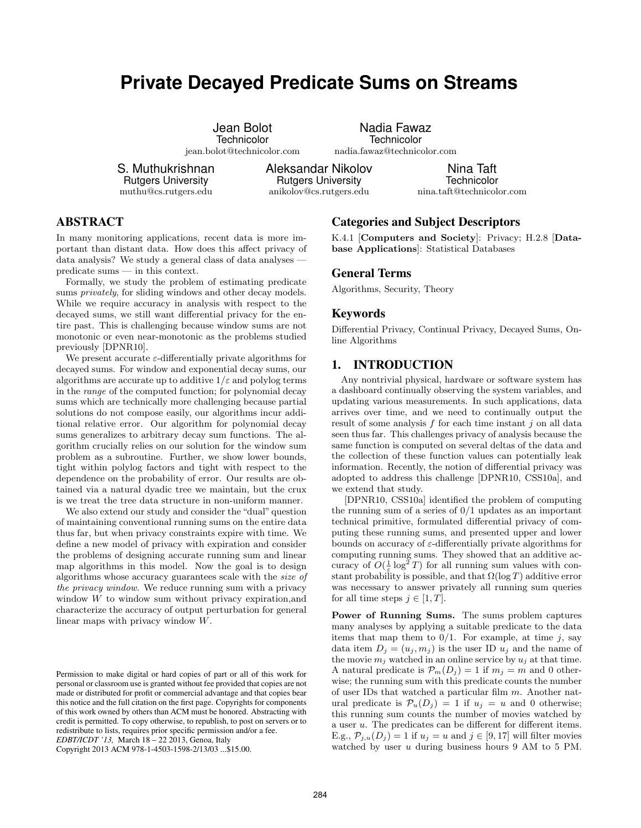# **Private Decayed Predicate Sums on Streams**

Jean Bolot **Technicolor** jean.bolot@technicolor.com

S. Muthukrishnan Rutgers University muthu@cs.rutgers.edu

Aleksandar Nikolov Rutgers University anikolov@cs.rutgers.edu

Nina Taft **Technicolor** nina.taft@technicolor.com

## ABSTRACT

In many monitoring applications, recent data is more important than distant data. How does this affect privacy of data analysis? We study a general class of data analyses predicate sums — in this context.

Formally, we study the problem of estimating predicate sums *privately*, for sliding windows and other decay models. While we require accuracy in analysis with respect to the decayed sums, we still want differential privacy for the entire past. This is challenging because window sums are not monotonic or even near-monotonic as the problems studied previously [DPNR10].

We present accurate  $\varepsilon$ -differentially private algorithms for decayed sums. For window and exponential decay sums, our algorithms are accurate up to additive  $1/\varepsilon$  and polylog terms in the range of the computed function; for polynomial decay sums which are technically more challenging because partial solutions do not compose easily, our algorithms incur additional relative error. Our algorithm for polynomial decay sums generalizes to arbitrary decay sum functions. The algorithm crucially relies on our solution for the window sum problem as a subroutine. Further, we show lower bounds, tight within polylog factors and tight with respect to the dependence on the probability of error. Our results are obtained via a natural dyadic tree we maintain, but the crux is we treat the tree data structure in non-uniform manner.

We also extend our study and consider the "dual" question of maintaining conventional running sums on the entire data thus far, but when privacy constraints expire with time. We define a new model of privacy with expiration and consider the problems of designing accurate running sum and linear map algorithms in this model. Now the goal is to design algorithms whose accuracy guarantees scale with the size of the privacy window. We reduce running sum with a privacy window  $W$  to window sum without privacy expiration, and characterize the accuracy of output perturbation for general linear maps with privacy window W.

*EDBT/ICDT '13,* March 18 – 22 2013, Genoa, Italy

Copyright 2013 ACM 978-1-4503-1598-2/13/03 ...\$15.00.

## Categories and Subject Descriptors

K.4.1 [Computers and Society]: Privacy; H.2.8 [Database Applications]: Statistical Databases

## General Terms

Algorithms, Security, Theory

Nadia Fawaz **Technicolor** nadia.fawaz@technicolor.com

#### Keywords

Differential Privacy, Continual Privacy, Decayed Sums, Online Algorithms

## 1. INTRODUCTION

Any nontrivial physical, hardware or software system has a dashboard continually observing the system variables, and updating various measurements. In such applications, data arrives over time, and we need to continually output the result of some analysis  $f$  for each time instant  $j$  on all data seen thus far. This challenges privacy of analysis because the same function is computed on several deltas of the data and the collection of these function values can potentially leak information. Recently, the notion of differential privacy was adopted to address this challenge [DPNR10, CSS10a], and we extend that study.

[DPNR10, CSS10a] identified the problem of computing the running sum of a series of  $0/1$  updates as an important technical primitive, formulated differential privacy of computing these running sums, and presented upper and lower bounds on accuracy of  $\varepsilon$ -differentially private algorithms for computing running sums. They showed that an additive accuracy of  $O(\frac{1}{\varepsilon} \log^2 T)$  for all running sum values with constant probability is possible, and that  $\Omega(\log T)$  additive error was necessary to answer privately all running sum queries for all time steps  $j \in [1, T]$ .

Power of Running Sums. The sums problem captures many analyses by applying a suitable predicate to the data items that map them to  $0/1$ . For example, at time j, say data item  $D_j = (u_j, m_j)$  is the user ID  $u_j$  and the name of the movie  $m_i$  watched in an online service by  $u_i$  at that time. A natural predicate is  $\mathcal{P}_m(D_i) = 1$  if  $m_i = m$  and 0 otherwise; the running sum with this predicate counts the number of user IDs that watched a particular film m. Another natural predicate is  $\mathcal{P}_u(D_i) = 1$  if  $u_i = u$  and 0 otherwise; this running sum counts the number of movies watched by a user u. The predicates can be different for different items. E.g.,  $\mathcal{P}_{j,u}(D_j) = 1$  if  $u_j = u$  and  $j \in [9,17]$  will filter movies watched by user u during business hours 9 AM to 5 PM.

Permission to make digital or hard copies of part or all of this work for personal or classroom use is granted without fee provided that copies are not made or distributed for profit or commercial advantage and that copies bear this notice and the full citation on the first page. Copyrights for components of this work owned by others than ACM must be honored. Abstracting with credit is permitted. To copy otherwise, to republish, to post on servers or to redistribute to lists, requires prior specific permission and/or a fee.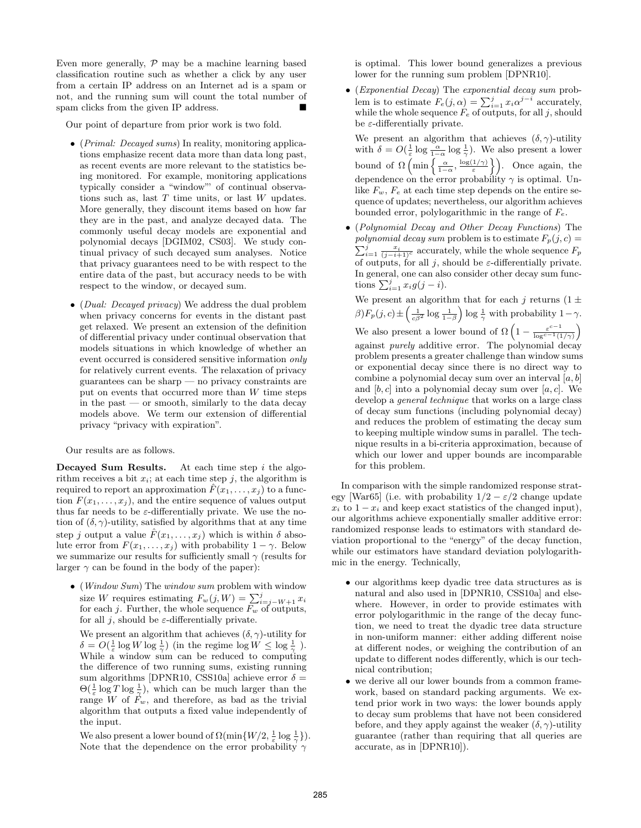Even more generally,  $P$  may be a machine learning based classification routine such as whether a click by any user from a certain IP address on an Internet ad is a spam or not, and the running sum will count the total number of spam clicks from the given IP address.

Our point of departure from prior work is two fold.

- (*Primal: Decayed sums*) In reality, monitoring applications emphasize recent data more than data long past, as recent events are more relevant to the statistics being monitored. For example, monitoring applications typically consider a "window"' of continual observations such as, last  $T$  time units, or last  $W$  updates. More generally, they discount items based on how far they are in the past, and analyze decayed data. The commonly useful decay models are exponential and polynomial decays [DGIM02, CS03]. We study continual privacy of such decayed sum analyses. Notice that privacy guarantees need to be with respect to the entire data of the past, but accuracy needs to be with respect to the window, or decayed sum.
- (*Dual: Decayed privacy*) We address the dual problem when privacy concerns for events in the distant past get relaxed. We present an extension of the definition of differential privacy under continual observation that models situations in which knowledge of whether an event occurred is considered sensitive information only for relatively current events. The relaxation of privacy guarantees can be sharp — no privacy constraints are put on events that occurred more than  $W$  time steps in the past — or smooth, similarly to the data decay models above. We term our extension of differential privacy "privacy with expiration".

Our results are as follows.

**Decayed Sum Results.** At each time step  $i$  the algorithm receives a bit  $x_i$ ; at each time step j, the algorithm is required to report an approximation  $\hat{F}(x_1, \ldots, x_i)$  to a function  $F(x_1, \ldots, x_j)$ , and the entire sequence of values output thus far needs to be  $\varepsilon$ -differentially private. We use the notion of  $(\delta, \gamma)$ -utility, satisfied by algorithms that at any time step j output a value  $\hat{F}(x_1,\ldots,x_j)$  which is within  $\delta$  absolute error from  $F(x_1, \ldots, x_j)$  with probability  $1 - \gamma$ . Below we summarize our results for sufficiently small  $\gamma$  (results for larger  $\gamma$  can be found in the body of the paper):

• (Window Sum) The window sum problem with window size W requires estimating  $F_w(j, W) = \sum_{i=j-W+1}^{j} x_i$ for each j. Further, the whole sequence  $F_w$  of outputs, for all j, should be  $\varepsilon$ -differentially private.

We present an algorithm that achieves  $(\delta, \gamma)$ -utility for  $\delta = O(\frac{1}{\varepsilon} \log W \log \frac{1}{\gamma})$  (in the regime  $\log W \le \log \frac{1}{\gamma}$ ). While a window sum can be reduced to computing the difference of two running sums, existing running sum algorithms [DPNR10, CSS10a] achieve error  $\delta=$  $\Theta(\frac{1}{\varepsilon}\log T \log \frac{1}{\gamma})$ , which can be much larger than the range W of  $F_w$ , and therefore, as bad as the trivial algorithm that outputs a fixed value independently of the input.

We also present a lower bound of  $\Omega(\min\{W/2, \frac{1}{\varepsilon} \log \frac{1}{\gamma}\}).$ Note that the dependence on the error probability  $\gamma$ 

is optimal. This lower bound generalizes a previous lower for the running sum problem [DPNR10].

• (Exponential Decay) The exponential decay sum problem is to estimate  $F_e(j, \alpha) = \sum_{i=1}^j x_i \alpha^{j-i}$  accurately, while the whole sequence  $F_e$  of outputs, for all j, should be  $\varepsilon$ -differentially private.

We present an algorithm that achieves  $(\delta, \gamma)$ -utility with  $\delta = O(\frac{1}{\varepsilon} \log \frac{\alpha}{1-\alpha} \log \frac{1}{\gamma})$ . We also present a lower bound of  $\Omega\left(\min\left\{\frac{\alpha}{1-\alpha},\frac{\log(1/\gamma)}{\varepsilon}\right\}\right)$ . Once again, the dependence on the error probability  $\gamma$  is optimal. Unlike  $F_w$ ,  $F_e$  at each time step depends on the entire sequence of updates; nevertheless, our algorithm achieves bounded error, polylogarithmic in the range of  $F_e$ .

• (Polynomial Decay and Other Decay Functions) The polynomial decay sum problem is to estimate  $F_p(j, c) =$  $\sum_{i=1}^{j} \frac{x_i}{(j-i+1)^c}$  accurately, while the whole sequence  $F_p$ of outputs, for all j, should be  $\varepsilon$ -differentially private. In general, one can also consider other decay sum functions  $\sum_{i=1}^{j} x_i g(j-i)$ .

We present an algorithm that for each  $j$  returns (1  $\pm$  $\beta$ ) $F_p(j, c) \pm \left(\frac{1}{c\beta^2} \log \frac{1}{1-\beta}\right) \log \frac{1}{\gamma}$  with probability  $1-\gamma$ . We also present a lower bound of  $\Omega\left(1 - \frac{\varepsilon^{c-1}}{\log^{c-1}(1/\gamma)}\right)$ against purely additive error. The polynomial decay problem presents a greater challenge than window sums or exponential decay since there is no direct way to combine a polynomial decay sum over an interval  $[a, b]$ and  $[b, c]$  into a polynomial decay sum over  $[a, c]$ . We develop a general technique that works on a large class of decay sum functions (including polynomial decay) and reduces the problem of estimating the decay sum to keeping multiple window sums in parallel. The technique results in a bi-criteria approximation, because of which our lower and upper bounds are incomparable for this problem.

In comparison with the simple randomized response strategy [War65] (i.e. with probability  $1/2 - \varepsilon/2$  change update  $x_i$  to  $1 - x_i$  and keep exact statistics of the changed input), our algorithms achieve exponentially smaller additive error: randomized response leads to estimators with standard deviation proportional to the "energy" of the decay function, while our estimators have standard deviation polylogarithmic in the energy. Technically,

- our algorithms keep dyadic tree data structures as is natural and also used in [DPNR10, CSS10a] and elsewhere. However, in order to provide estimates with error polylogarithmic in the range of the decay function, we need to treat the dyadic tree data structure in non-uniform manner: either adding different noise at different nodes, or weighing the contribution of an update to different nodes differently, which is our technical contribution;
- we derive all our lower bounds from a common framework, based on standard packing arguments. We extend prior work in two ways: the lower bounds apply to decay sum problems that have not been considered before, and they apply against the weaker  $(\delta, \gamma)$ -utility guarantee (rather than requiring that all queries are accurate, as in [DPNR10]).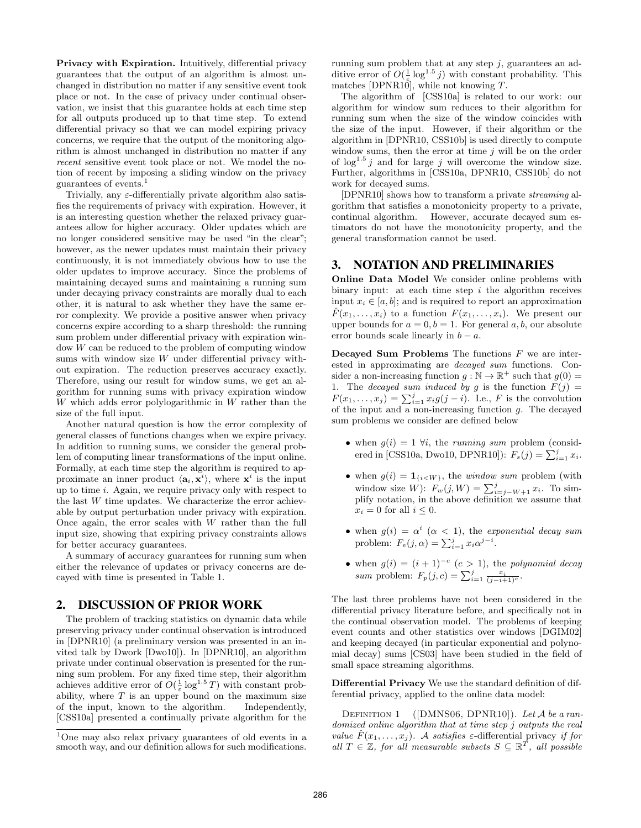Privacy with Expiration. Intuitively, differential privacy guarantees that the output of an algorithm is almost unchanged in distribution no matter if any sensitive event took place or not. In the case of privacy under continual observation, we insist that this guarantee holds at each time step for all outputs produced up to that time step. To extend differential privacy so that we can model expiring privacy concerns, we require that the output of the monitoring algorithm is almost unchanged in distribution no matter if any recent sensitive event took place or not. We model the notion of recent by imposing a sliding window on the privacy guarantees of events.<sup>1</sup>

Trivially, any  $\varepsilon$ -differentially private algorithm also satisfies the requirements of privacy with expiration. However, it is an interesting question whether the relaxed privacy guarantees allow for higher accuracy. Older updates which are no longer considered sensitive may be used "in the clear"; however, as the newer updates must maintain their privacy continuously, it is not immediately obvious how to use the older updates to improve accuracy. Since the problems of maintaining decayed sums and maintaining a running sum under decaying privacy constraints are morally dual to each other, it is natural to ask whether they have the same error complexity. We provide a positive answer when privacy concerns expire according to a sharp threshold: the running sum problem under differential privacy with expiration window W can be reduced to the problem of computing window sums with window size  $W$  under differential privacy without expiration. The reduction preserves accuracy exactly. Therefore, using our result for window sums, we get an algorithm for running sums with privacy expiration window W which adds error polylogarithmic in  $W$  rather than the size of the full input.

Another natural question is how the error complexity of general classes of functions changes when we expire privacy. In addition to running sums, we consider the general problem of computing linear transformations of the input online. Formally, at each time step the algorithm is required to approximate an inner product  $\langle \mathbf{a}_i, \mathbf{x}^i \rangle$ , where  $\mathbf{x}^i$  is the input up to time i. Again, we require privacy only with respect to the last  $W$  time updates. We characterize the error achievable by output perturbation under privacy with expiration. Once again, the error scales with W rather than the full input size, showing that expiring privacy constraints allows for better accuracy guarantees.

A summary of accuracy guarantees for running sum when either the relevance of updates or privacy concerns are decayed with time is presented in Table 1.

## 2. DISCUSSION OF PRIOR WORK

The problem of tracking statistics on dynamic data while preserving privacy under continual observation is introduced in [DPNR10] (a preliminary version was presented in an invited talk by Dwork [Dwo10]). In [DPNR10], an algorithm private under continual observation is presented for the running sum problem. For any fixed time step, their algorithm achieves additive error of  $O(\frac{1}{\varepsilon} \log^{1.5} T)$  with constant probability, where  $T$  is an upper bound on the maximum size of the input, known to the algorithm. Independently, [CSS10a] presented a continually private algorithm for the running sum problem that at any step  $j$ , guarantees an additive error of  $O(\frac{1}{\varepsilon} \log^{1.5} j)$  with constant probability. This matches [DPNR10], while not knowing  $T$ .

The algorithm of [CSS10a] is related to our work: our algorithm for window sum reduces to their algorithm for running sum when the size of the window coincides with the size of the input. However, if their algorithm or the algorithm in [DPNR10, CSS10b] is used directly to compute window sums, then the error at time  $j$  will be on the order of  $\log^{1.5} j$  and for large j will overcome the window size. Further, algorithms in [CSS10a, DPNR10, CSS10b] do not work for decayed sums.

[DPNR10] shows how to transform a private streaming algorithm that satisfies a monotonicity property to a private, continual algorithm. However, accurate decayed sum estimators do not have the monotonicity property, and the general transformation cannot be used.

## 3. NOTATION AND PRELIMINARIES

Online Data Model We consider online problems with binary input: at each time step  $i$  the algorithm receives input  $x_i \in [a, b]$ ; and is required to report an approximation  $\hat{F}(x_1,\ldots,x_i)$  to a function  $F(x_1,\ldots,x_i)$ . We present our upper bounds for  $a = 0, b = 1$ . For general a, b, our absolute error bounds scale linearly in  $b - a$ .

**Decayed Sum Problems** The functions  $F$  we are interested in approximating are decayed sum functions. Consider a non-increasing function  $g : \mathbb{N} \to \mathbb{R}^+$  such that  $g(0) =$ 1. The decayed sum induced by g is the function  $F(j) =$  $F(x_1,...,x_j) = \sum_{i=1}^j x_i g(j-i)$ . I.e., F is the convolution of the input and a non-increasing function  $g$ . The decayed sum problems we consider are defined below

- when  $g(i) = 1$   $\forall i$ , the *running sum* problem (considered in [CSS10a, Dwo10, DPNR10]):  $F_s(j) = \sum_{i=1}^j x_i$ .
- when  $g(i) = \mathbf{1}_{\{i \leq W\}}$ , the *window sum* problem (with window size  $W$ ):  $F_w(j, W) = \sum_{i=j-W+1}^{j} x_i$ . To simplify notation, in the above definition we assume that  $x_i = 0$  for all  $i \leq 0$ .
- when  $g(i) = \alpha^i \ (\alpha < 1)$ , the exponential decay sum problem:  $F_e(j, \alpha) = \sum_{i=1}^j x_i \alpha^{j-i}$ .
- when  $g(i) = (i + 1)^{-c}$   $(c > 1)$ , the polynomial decay sum problem:  $F_p(j, c) = \sum_{i=1}^j \frac{x_i}{(j-i+1)^c}$ .

The last three problems have not been considered in the differential privacy literature before, and specifically not in the continual observation model. The problems of keeping event counts and other statistics over windows [DGIM02] and keeping decayed (in particular exponential and polynomial decay) sums [CS03] have been studied in the field of small space streaming algorithms.

Differential Privacy We use the standard definition of differential privacy, applied to the online data model:

DEFINITION 1 ([DMNS06, DPNR10]). Let  $A$  be a randomized online algorithm that at time step j outputs the real value  $\hat{F}(x_1, \ldots, x_j)$ . A satisfies  $\varepsilon$ -differential privacy if for all  $T \in \mathbb{Z}$ , for all measurable subsets  $S \subseteq \mathbb{R}^T$ , all possible

<sup>1</sup>One may also relax privacy guarantees of old events in a smooth way, and our definition allows for such modifications.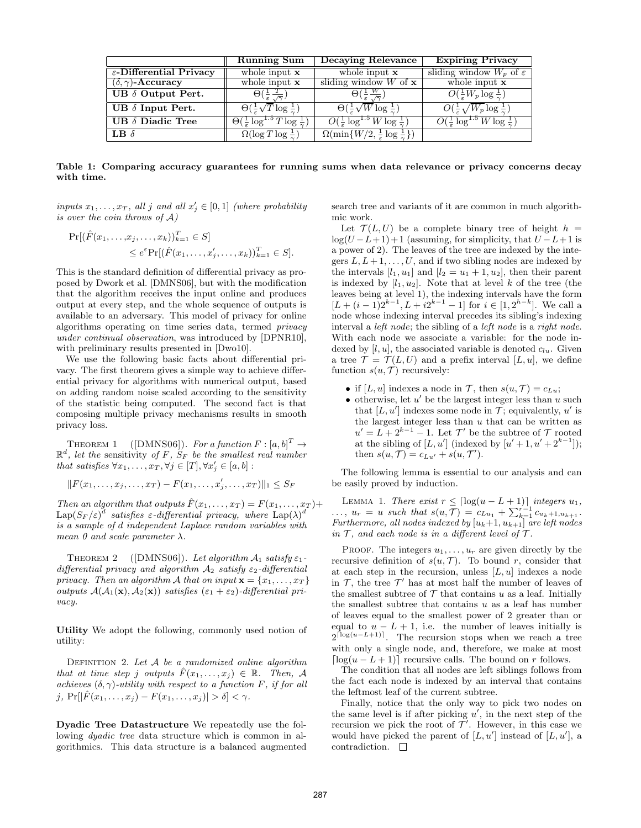|                                  | <b>Running Sum</b>                                                  | Decaying Relevance                                                | <b>Expiring Privacy</b>                                           |
|----------------------------------|---------------------------------------------------------------------|-------------------------------------------------------------------|-------------------------------------------------------------------|
| $\epsilon$ -Differential Privacy | whole input $\mathbf x$                                             | whole input $\mathbf x$                                           | sliding window $W_p$ of $\varepsilon$                             |
| $(\delta, \gamma)$ -Accuracy     | whole input $\mathbf x$                                             | sliding window W of $x$                                           | whole input $\mathbf x$                                           |
| UB $\delta$ Output Pert.         | $\Theta(\frac{1}{\varepsilon} \frac{1}{\sqrt{\gamma}})$             |                                                                   | $O(\frac{1}{\varepsilon}W_p \log \frac{1}{\gamma})$               |
| UB $\delta$ Input Pert.          | $\Theta(\frac{1}{\varepsilon}\sqrt{T}\log\frac{1}{\gamma})$         | $\Theta(\frac{1}{\varepsilon}\sqrt{W}\log\frac{1}{\gamma})$       | $O(\frac{1}{\varepsilon}\sqrt{W_p}\log \frac{1}{\gamma})$         |
| UB $\delta$ Diadic Tree          | $\Theta(\frac{1}{\varepsilon}\log^{1.5}T\log\frac{1}{\varepsilon})$ | $O(\frac{1}{\varepsilon}\log^{1.5} W \log \frac{1}{\gamma})$      | $O(\frac{1}{\varepsilon}\log^{1.5} W \log \frac{1}{\varepsilon})$ |
| LB $\delta$                      | $\Omega(\log T \log \frac{1}{\gamma})$                              | $\Omega(\min\{W/2, \frac{1}{\varepsilon}\log \frac{1}{\gamma}\})$ |                                                                   |

Table 1: Comparing accuracy guarantees for running sums when data relevance or privacy concerns decay with time.

inputs  $x_1, \ldots, x_T$ , all j and all  $x'_j \in [0,1]$  (where probability is over the coin throws of  $A$ )

$$
\Pr[(\hat{F}(x_1,\ldots,x_j,\ldots,x_k))_{k=1}^T \in S] \leq e^{\varepsilon} \Pr[(\hat{F}(x_1,\ldots,x_j',\ldots,x_k))_{k=1}^T \in S].
$$

This is the standard definition of differential privacy as proposed by Dwork et al. [DMNS06], but with the modification that the algorithm receives the input online and produces output at every step, and the whole sequence of outputs is available to an adversary. This model of privacy for online algorithms operating on time series data, termed privacy under continual observation, was introduced by [DPNR10], with preliminary results presented in [Dwo10].

We use the following basic facts about differential privacy. The first theorem gives a simple way to achieve differential privacy for algorithms with numerical output, based on adding random noise scaled according to the sensitivity of the statistic being computed. The second fact is that composing multiple privacy mechanisms results in smooth privacy loss.

THEOREM 1 ([DMNS06]). For a function  $F : [a, b]^T \rightarrow$  $\mathbb{R}^d$ , let the sensitivity of F,  $S_F$  be the smallest real number that satisfies  $\forall x_1, \ldots, x_T, \forall j \in [T], \forall x'_j \in [a, b]$ :

$$
||F(x_1,...,x_j,...,x_T) - F(x_1,...,x'_j,...,x_T)||_1 \leq S_F
$$

Then an algorithm that outputs  $\hat{F}(x_1, \ldots, x_T) = F(x_1, \ldots, x_T) +$  $\mathrm{Lap}(S_F/\varepsilon)^d$  satisfies  $\varepsilon$ -differential privacy, where  $\mathrm{Lap}(\lambda)^d$ is a sample of d independent Laplace random variables with mean 0 and scale parameter  $\lambda$ .

THEOREM 2 ([DMNS06]). Let algorithm  $A_1$  satisfy  $\varepsilon_1$ differential privacy and algorithm  $A_2$  satisfy  $\varepsilon_2$ -differential privacy. Then an algorithm A that on input  $\mathbf{x} = \{x_1, \ldots, x_T\}$ outputs  $A(A_1(\mathbf{x}), A_2(\mathbf{x}))$  satisfies  $(\varepsilon_1 + \varepsilon_2)$ -differential privacy.

Utility We adopt the following, commonly used notion of utility:

DEFINITION 2. Let  $A$  be a randomized online algorithm that at time step j outputs  $\hat{F}(x_1,\ldots,x_j) \in \mathbb{R}$ . Then, A achieves  $(\delta, \gamma)$ -utility with respect to a function F, if for all j,  $Pr[|\hat{F}(x_1, ..., x_i) - F(x_1, ..., x_j)| > \delta] < \gamma$ .

Dyadic Tree Datastructure We repeatedly use the following dyadic tree data structure which is common in algorithmics. This data structure is a balanced augmented search tree and variants of it are common in much algorithmic work.

Let  $\mathcal{T}(L, U)$  be a complete binary tree of height  $h =$  $log(U - L + 1) + 1$  (assuming, for simplicity, that  $U - L + 1$  is a power of 2). The leaves of the tree are indexed by the integers  $L, L+1, \ldots, U$ , and if two sibling nodes are indexed by the intervals  $[l_1, u_1]$  and  $[l_2 = u_1 + 1, u_2]$ , then their parent is indexed by  $[l_1, u_2]$ . Note that at level k of the tree (the leaves being at level 1), the indexing intervals have the form  $[L + (i-1)2^{k-1}, L + i2^{k-1} - 1]$  for  $i \in [1, 2^{h-k}]$ . We call a node whose indexing interval precedes its sibling's indexing interval a left node; the sibling of a left node is a right node. With each node we associate a variable: for the node indexed by  $[l, u]$ , the associated variable is denoted  $c_{lu}$ . Given a tree  $\mathcal{T} = \mathcal{T}(L, U)$  and a prefix interval  $[L, u]$ , we define function  $s(u, \mathcal{T})$  recursively:

- if  $[L, u]$  indexes a node in  $\mathcal{T}$ , then  $s(u, \mathcal{T}) = c_{Lu}$ ;
- $\bullet$  otherwise, let  $u'$  be the largest integer less than u such that  $[L, u']$  indexes some node in  $\mathcal{T}$ ; equivalently, u' is the largest integer less than  $u$  that can be written as  $u' = L + 2^{k-1} - 1$ . Let  $\mathcal{T}'$  be the subtree of  $\mathcal T$  rooted at the sibling of  $[L, u']$  (indexed by  $[u' + 1, u' + 2^{k-1}])$ ; then  $s(u, \mathcal{T}) = c_{Lu'} + s(u, \mathcal{T}').$

The following lemma is essential to our analysis and can be easily proved by induction.

LEMMA 1. There exist  $r \leq \lceil \log(u - L + 1) \rceil$  integers  $u_1$ , ...,  $u_r = u$  such that  $s(u, \overline{\mathcal{T}}) = c_{Lu_1} + \sum_{k=1}^{r-1} c_{u_k+1, u_{k+1}}$ . Furthermore, all nodes indexed by  $[u_k+1, u_{k+1}]$  are left nodes in  $\mathcal T$ , and each node is in a different level of  $\mathcal T$ .

PROOF. The integers  $u_1, \ldots, u_r$  are given directly by the recursive definition of  $s(u, \mathcal{T})$ . To bound r, consider that at each step in the recursion, unless  $[L, u]$  indexes a node in  $\mathcal{T}$ , the tree  $\mathcal{T}'$  has at most half the number of leaves of the smallest subtree of  $\mathcal T$  that contains u as a leaf. Initially the smallest subtree that contains  $u$  as a leaf has number of leaves equal to the smallest power of 2 greater than or equal to  $u - L + 1$ , i.e. the number of leaves initially is  $2^{\lceil \log(u-L+1) \rceil}$ . The recursion stops when we reach a tree with only a single node, and, therefore, we make at most  $\lceil \log(u - L + 1) \rceil$  recursive calls. The bound on r follows.

The condition that all nodes are left siblings follows from the fact each node is indexed by an interval that contains the leftmost leaf of the current subtree.

Finally, notice that the only way to pick two nodes on the same level is if after picking  $u'$ , in the next step of the recursion we pick the root of  $\mathcal{T}'$ . However, in this case we would have picked the parent of  $[L, u']$  instead of  $[L, u']$ , a contradiction.  $\Box$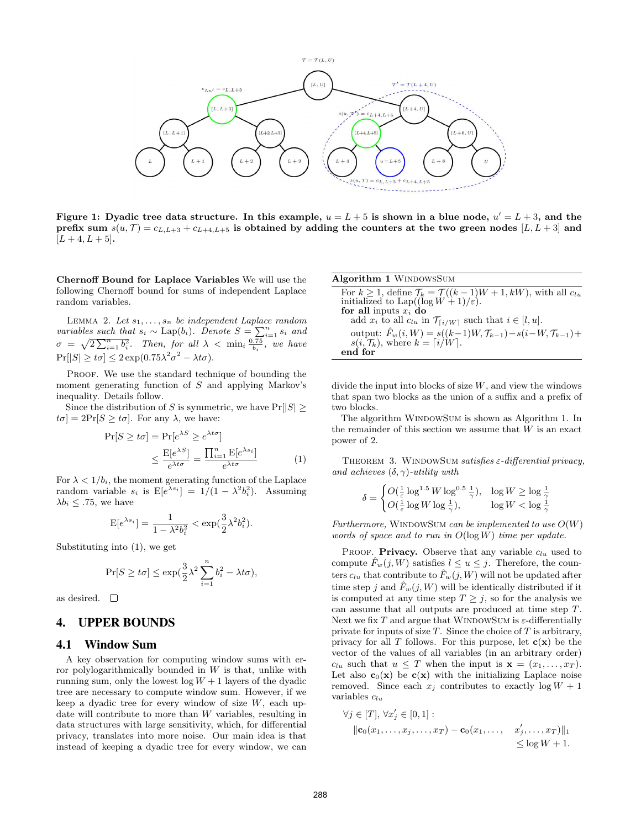

Figure 1: Dyadic tree data structure. In this example,  $u = L + 5$  is shown in a blue node,  $u' = L + 3$ , and the prefix sum  $s(u, \mathcal{T}) = c_{L,L+3} + c_{L+4,L+5}$  is obtained by adding the counters at the two green nodes  $[L, L+3]$  and  $[L+4, L+5]$ .

Chernoff Bound for Laplace Variables We will use the following Chernoff bound for sums of independent Laplace random variables.

LEMMA 2. Let  $s_1, \ldots, s_n$  be independent Laplace random variables such that  $s_i \sim \text{Lap}(b_i)$ . Denote  $S = \sum_{i=1}^n s_i$  and  $\sigma = \sqrt{2 \sum_{i=1}^{n} b_i^2}$ . Then, for all  $\lambda < \min_i \frac{0.75}{b_i}$ , we have  $\Pr[|S| \geq t\sigma] \leq 2 \exp(0.75\lambda^2 \sigma^2 - \lambda t\sigma).$ 

PROOF. We use the standard technique of bounding the moment generating function of  $S$  and applying Markov's inequality. Details follow.

Since the distribution of S is symmetric, we have  $Pr[|S| \geq$  $t\sigma$  =  $2Pr[S \geq t\sigma]$ . For any  $\lambda$ , we have:

$$
\Pr[S \ge t\sigma] = \Pr[e^{\lambda S} \ge e^{\lambda t\sigma}]
$$
  
 
$$
\le \frac{\mathcal{E}[e^{\lambda S}]}{e^{\lambda t\sigma}} = \frac{\prod_{i=1}^{n} \mathcal{E}[e^{\lambda s_i}]}{e^{\lambda t\sigma}} \tag{1}
$$

For  $\lambda < 1/b_i$ , the moment generating function of the Laplace random variable  $s_i$  is  $E[e^{\lambda s_i}] = 1/(1 - \lambda^2 b_i^2)$ . Assuming  $\lambda b_i \leq .75$ , we have

$$
E[e^{\lambda s_i}] = \frac{1}{1 - \lambda^2 b_i^2} < \exp\left(\frac{3}{2}\lambda^2 b_i^2\right).
$$

Substituting into (1), we get

$$
\Pr[S \geq t\sigma] \leq \exp(\frac{3}{2}\lambda^2 \sum_{i=1}^n b_i^2 - \lambda t\sigma),
$$

as desired.  $\square$ 

## 4. UPPER BOUNDS

#### 4.1 Window Sum

A key observation for computing window sums with error polylogarithmically bounded in  $W$  is that, unlike with running sum, only the lowest  $log W + 1$  layers of the dyadic tree are necessary to compute window sum. However, if we keep a dyadic tree for every window of size  $W$ , each update will contribute to more than W variables, resulting in data structures with large sensitivity, which, for differential privacy, translates into more noise. Our main idea is that instead of keeping a dyadic tree for every window, we can

| <b>Algorithm 1 WINDOWSSUM</b>                                                                                                                |
|----------------------------------------------------------------------------------------------------------------------------------------------|
| For $k \ge 1$ , define $\mathcal{T}_k = \mathcal{T}((k-1)W + 1, kW)$ , with all $c_{lu}$ initialized to Lap( $(\log W + 1)/\varepsilon$ ).   |
| for all inputs $x_i$ do                                                                                                                      |
| add $x_i$ to all $c_{lu}$ in $\mathcal{T}_{\lceil i/W \rceil}$ such that $i \in [l, u]$ .                                                    |
| output: $\hat{F}_w(i, W) = s((k-1)W, \mathcal{T}_{k-1}) - s(i-W, \mathcal{T}_{k-1}) + s(i, \mathcal{T}_k)$ , where $k = \lceil i/W \rceil$ . |
|                                                                                                                                              |
| end for                                                                                                                                      |

divide the input into blocks of size  $W$ , and view the windows that span two blocks as the union of a suffix and a prefix of two blocks.

The algorithm WINDOWSUM is shown as Algorithm 1. In the remainder of this section we assume that  $W$  is an exact power of 2.

THEOREM 3. WINDOWSUM satisfies  $\varepsilon$ -differential privacy, and achieves  $(\delta, \gamma)$ -utility with

$$
\delta = \begin{cases} O(\frac{1}{\varepsilon} \log^{1.5} W \log^{0.5} \frac{1}{\gamma}), & \log W \ge \log \frac{1}{\gamma} \\ O(\frac{1}{\varepsilon} \log W \log \frac{1}{\gamma}), & \log W < \log \frac{1}{\gamma} \end{cases}
$$

Furthermore, WINDOWSUM can be implemented to use  $O(W)$ words of space and to run in  $O(\log W)$  time per update.

PROOF. Privacy. Observe that any variable  $c_{lu}$  used to compute  $\hat{F}_w(j, W)$  satisfies  $l \leq u \leq j$ . Therefore, the counters  $c_{lu}$  that contribute to  $\hat{F}_w(j, W)$  will not be updated after time step j and  $\hat{F}_w(j, W)$  will be identically distributed if it is computed at any time step  $T \geq j$ , so for the analysis we can assume that all outputs are produced at time step T. Next we fix T and argue that WINDOWSUM is  $\varepsilon$ -differentially private for inputs of size  $T$ . Since the choice of  $T$  is arbitrary, privacy for all T follows. For this purpose, let  $c(x)$  be the vector of the values of all variables (in an arbitrary order)  $c_{lu}$  such that  $u \leq T$  when the input is  $\mathbf{x} = (x_1, \ldots, x_T)$ . Let also  $c_0(x)$  be  $c(x)$  with the initializing Laplace noise removed. Since each  $x_i$  contributes to exactly  $\log W + 1$ variables  $c_{lu}$ 

$$
\forall j \in [T], \forall x'_j \in [0,1]:
$$
  
\n
$$
\|\mathbf{c}_0(x_1,\ldots,x_j,\ldots,x_T) - \mathbf{c}_0(x_1,\ldots,x'_j,\ldots,x_T)\|_1
$$
  
\n
$$
\leq \log W + 1.
$$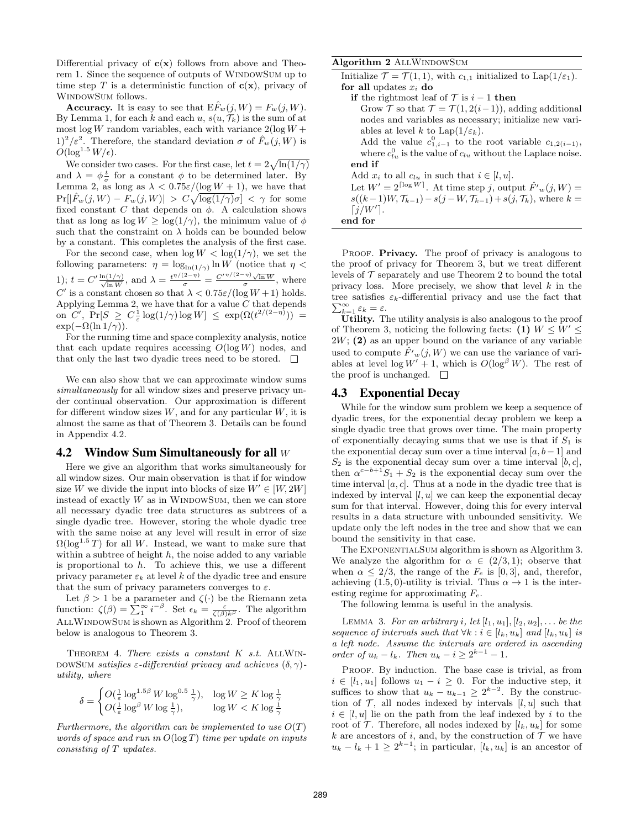Differential privacy of  $c(x)$  follows from above and Theorem 1. Since the sequence of outputs of WINDOWSUM up to time step T is a deterministic function of  $c(x)$ , privacy of WINDOWSUM follows.

**Accuracy.** It is easy to see that  $E\ddot{F}_w(j, W) = F_w(j, W)$ . By Lemma 1, for each k and each u,  $s(u, \mathcal{T}_k)$  is the sum of at most  $\log W$  random variables, each with variance  $2(\log W +$  $1)^2/\varepsilon^2$ . Therefore, the standard deviation  $\sigma$  of  $\hat{F}_w(j, W)$  is  $O(\log^{1.5} W/\epsilon)$ .

We consider two cases. For the first case, let  $t = 2\sqrt{\ln(1/\gamma)}$ and  $\lambda = \phi \frac{t}{\sigma}$  for a constant  $\phi$  to be determined later. By Lemma 2, as long as  $\lambda < 0.75\varepsilon/(\log W + 1)$ , we have that  $\Pr[|\hat{F}_w(j, W) - F_w(j, W)|] > C\sqrt{\log(1/\gamma)}\sigma < \gamma$  for some fixed constant C that depends on  $\phi$ . A calculation shows that as long as  $\log W > \log(1/\gamma)$ , the minimum value of  $\phi$ such that the constraint on  $\lambda$  holds can be bounded below by a constant. This completes the analysis of the first case.

For the second case, when  $\log W < \log(1/\gamma)$ , we set the following parameters:  $\eta = \log_{\ln(1/\gamma)} \ln W$  (notice that  $\eta$  < 1);  $t = C' \frac{\ln(1/\gamma)}{\sqrt{\ln W}}$ , and  $\lambda = \frac{t^{\eta/(2-\eta)}}{\sigma} = \frac{C'^{\eta/(2-\eta)}\sqrt{\ln W}}{\sigma}$ , where C' is a constant chosen so that  $\lambda < 0.75\varepsilon/(\log W + 1)$  holds. Applying Lemma 2, we have that for a value  $C$  that depends on C', Pr[ $S \geq C_{\frac{1}{\varepsilon}} \log(1/\gamma) \log W$ ]  $\leq \exp(\Omega(t^{2/(2-\eta)}))$  =  $\exp(-\Omega(\ln 1/\gamma)).$ 

For the running time and space complexity analysis, notice that each update requires accessing  $O(\log W)$  nodes, and that only the last two dyadic trees need to be stored.  $\square$ 

We can also show that we can approximate window sums simultaneously for all window sizes and preserve privacy under continual observation. Our approximation is different for different window sizes  $W$ , and for any particular  $W$ , it is almost the same as that of Theorem 3. Details can be found in Appendix 4.2.

#### 4.2 Window Sum Simultaneously for all  $W$

Here we give an algorithm that works simultaneously for all window sizes. Our main observation is that if for window size W we divide the input into blocks of size  $W' \in [W, 2W]$ instead of exactly  $W$  as in WINDOWSUM, then we can store all necessary dyadic tree data structures as subtrees of a single dyadic tree. However, storing the whole dyadic tree with the same noise at any level will result in error of size  $\Omega(\log^{1.5} T)$  for all W. Instead, we want to make sure that within a subtree of height  $h$ , the noise added to any variable is proportional to  $h$ . To achieve this, we use a different privacy parameter  $\varepsilon_k$  at level k of the dyadic tree and ensure that the sum of privacy parameters converges to  $\varepsilon$ .

Let  $\beta > 1$  be a parameter and  $\zeta(\cdot)$  be the Riemann zeta function:  $\zeta(\beta) = \sum_{1}^{\infty} i^{-\beta}$ . Set  $\epsilon_k = \frac{\varepsilon}{\zeta(\beta)k^{\beta}}$ . The algorithm AllWindowSum is shown as Algorithm 2. Proof of theorem below is analogous to Theorem 3.

THEOREM 4. There exists a constant  $K$  s.t. ALLWIN-DOWSUM satisfies  $\varepsilon$ -differential privacy and achieves  $(\delta, \gamma)$ utility, where

$$
\delta = \begin{cases} O(\frac{1}{\varepsilon} \log^{1.5\beta} W \log^{0.5} \frac{1}{\gamma}), & \log W \ge K \log \frac{1}{\gamma} \\ O(\frac{1}{\varepsilon} \log^{\beta} W \log \frac{1}{\gamma}), & \log W < K \log \frac{1}{\gamma} \end{cases}
$$

Furthermore, the algorithm can be implemented to use  $O(T)$ words of space and run in  $O(\log T)$  time per update on inputs consisting of T updates.

PROOF. Privacy. The proof of privacy is analogous to the proof of privacy for Theorem 3, but we treat different levels of  $\mathcal T$  separately and use Theorem 2 to bound the total privacy loss. More precisely, we show that level  $k$  in the tree satisfies  $\varepsilon_k$ -differential privacy and use the fact that tree satisfies  $\varepsilon_k$ -differential privacy and use the fact that  $\sum_{k=1}^{\infty} \varepsilon_k = \varepsilon$ .

Utility. The utility analysis is also analogous to the proof of Theorem 3, noticing the following facts: (1)  $W \leq W' \leq$  $2W$ ; (2) as an upper bound on the variance of any variable used to compute  $\hat{F}'_w(j, W)$  we can use the variance of variables at level  $\log W' + 1$ , which is  $O(\log^{\beta} W)$ . The rest of the proof is unchanged.  $\square$ 

#### 4.3 Exponential Decay

While for the window sum problem we keep a sequence of dyadic trees, for the exponential decay problem we keep a single dyadic tree that grows over time. The main property of exponentially decaying sums that we use is that if  $S_1$  is the exponential decay sum over a time interval  $[a, b-1]$  and  $S_2$  is the exponential decay sum over a time interval  $[b, c]$ , then  $\alpha^{c-b+1}S_1 + S_2$  is the exponential decay sum over the time interval  $[a, c]$ . Thus at a node in the dyadic tree that is indexed by interval  $[l, u]$  we can keep the exponential decay sum for that interval. However, doing this for every interval results in a data structure with unbounded sensitivity. We update only the left nodes in the tree and show that we can bound the sensitivity in that case.

The EXPONENTIALSUM algorithm is shown as Algorithm 3. We analyze the algorithm for  $\alpha \in (2/3, 1)$ ; observe that when  $\alpha \leq 2/3$ , the range of the  $F_e$  is [0,3], and, therefor, achieving (1.5, 0)-utility is trivial. Thus  $\alpha \to 1$  is the interesting regime for approximating  $F_e$ .

The following lemma is useful in the analysis.

LEMMA 3. For an arbitrary i, let  $[l_1, u_1], [l_2, u_2], \ldots$  be the sequence of intervals such that  $\forall k : i \in [l_k, u_k]$  and  $[l_k, u_k]$  is a left node. Assume the intervals are ordered in ascending order of  $u_k - l_k$ . Then  $u_k - i \geq 2^{k-1} - 1$ .

PROOF. By induction. The base case is trivial, as from  $i \in [l_1, u_1]$  follows  $u_1 - i \geq 0$ . For the inductive step, it suffices to show that  $u_k - u_{k-1} \geq 2^{k-2}$ . By the construction of  $\mathcal T$ , all nodes indexed by intervals  $[l, u]$  such that  $i \in [l, u]$  lie on the path from the leaf indexed by i to the root of  $\mathcal T$ . Therefore, all nodes indexed by  $[l_k, u_k]$  for some k are ancestors of i, and, by the construction of  $\mathcal T$  we have  $u_k - l_k + 1 \geq 2^{k-1}$ ; in particular,  $[l_k, u_k]$  is an ancestor of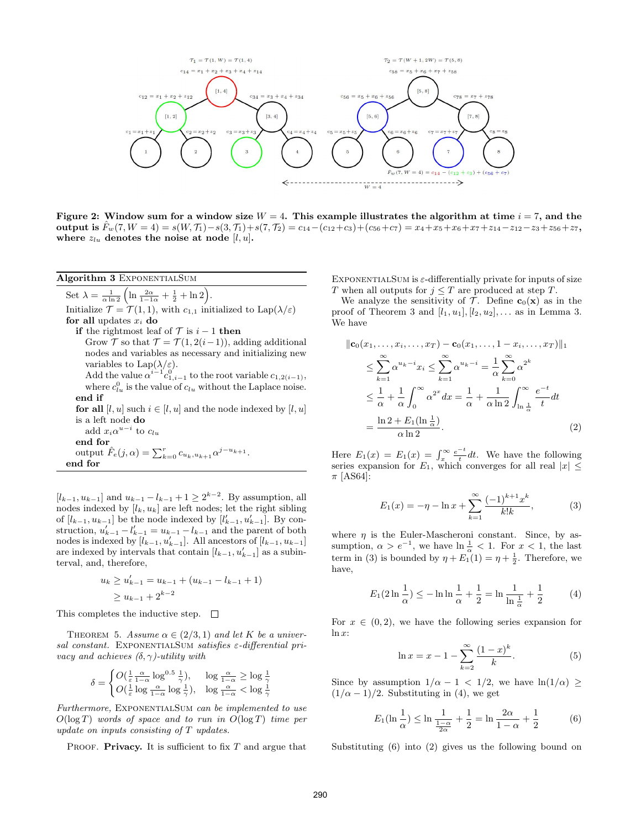

Figure 2: Window sum for a window size  $W = 4$ . This example illustrates the algorithm at time  $i = 7$ , and the output is  $F_w(7, W = 4) = s(W, \mathcal{T}_1) - s(3, \mathcal{T}_1) + s(7, \mathcal{T}_2) = c_{14} - (c_{12} + c_3) + (c_{56} + c_7) = x_4 + x_5 + x_6 + x_7 + z_{14} - z_{12} - z_3 + z_{56} + z_7$ where  $z_{lu}$  denotes the noise at node  $[l, u]$ .

Algorithm 3 EXPONENTIALSUM

Set  $\lambda = \frac{1}{\alpha \ln 2} \left( \ln \frac{2\alpha}{1-1\alpha} + \frac{1}{2} + \ln 2 \right)$ . Initialize  $\mathcal{T} = \mathcal{T}(1, 1)$ , with  $c_{1,1}$  initialized to  $\text{Lap}(\lambda/\varepsilon)$ for all updates  $x_i$  do if the rightmost leaf of  $\mathcal T$  is  $i-1$  then Grow  $\mathcal T$  so that  $\mathcal T = \mathcal T(1, 2(i-1))$ , adding additional nodes and variables as necessary and initializing new variables to  $\text{Lap}(\lambda/\varepsilon)$ . Add the value  $\alpha^{i-1}c_{1,i-1}^0$  to the root variable  $c_{1,2(i-1)}$ , where  $c_{lu}^0$  is the value of  $c_{lu}$  without the Laplace noise. end if for all  $[l,u]$  such  $i\in[l,u]$  and the node indexed by  $[l,u]$ is a left node do add  $x_i \alpha^{u-i}$  to  $c_{lu}$ end for output  $\hat{F}_e(j, \alpha) = \sum_{k=0}^r c_{u_k, u_{k+1}} \alpha^{j-u_{k+1}}.$ end for

 $[l_{k-1}, u_{k-1}]$  and  $u_{k-1} - l_{k-1} + 1 \geq 2^{k-2}$ . By assumption, all nodes indexed by  $[l_k, u_k]$  are left nodes; let the right sibling of  $[l_{k-1}, u_{k-1}]$  be the node indexed by  $[l'_{k-1}, u'_{k-1}]$ . By construction,  $u'_{k-1} - l'_{k-1} = u_{k-1} - l_{k-1}$  and the parent of both nodes is indexed by  $[l_{k-1}, u'_{k-1}]$ . All ancestors of  $[l_{k-1}, u_{k-1}]$ are indexed by intervals that contain  $[l_{k-1}, u'_{k-1}]$  as a subinterval, and, therefore,

$$
u_k \ge u'_{k-1} = u_{k-1} + (u_{k-1} - l_{k-1} + 1)
$$
  
\n
$$
\ge u_{k-1} + 2^{k-2}
$$

This completes the inductive step.  $\Box$ 

THEOREM 5. Assume  $\alpha \in (2/3, 1)$  and let K be a universal constant. EXPONENTIALSUM satisfies  $\varepsilon$ -differential privacy and achieves  $(\delta, \gamma)$ -utility with

$$
\delta = \begin{cases} O(\frac{1}{\varepsilon} \frac{\alpha}{1-\alpha} \log^{0.5} \frac{1}{\gamma}), & \log \frac{\alpha}{1-\alpha} \ge \log \frac{1}{\gamma} \\ O(\frac{1}{\varepsilon} \log \frac{\alpha}{1-\alpha} \log \frac{1}{\gamma}), & \log \frac{\alpha}{1-\alpha} < \log \frac{1}{\gamma} \end{cases}
$$

Furthermore, EXPONENTIALSUM can be implemented to use  $O(\log T)$  words of space and to run in  $O(\log T)$  time per update on inputs consisting of T updates.

PROOF. Privacy. It is sufficient to fix  $T$  and argue that

EXPONENTIALSUM is  $\varepsilon$ -differentially private for inputs of size T when all outputs for  $j \leq T$  are produced at step T.

We analyze the sensitivity of  $\mathcal{T}$ . Define  $c_0(\mathbf{x})$  as in the proof of Theorem 3 and  $[l_1, u_1], [l_2, u_2], \ldots$  as in Lemma 3. We have

$$
\|\mathbf{c}_0(x_1,\ldots,x_i,\ldots,x_T) - \mathbf{c}_0(x_1,\ldots,1-x_i,\ldots,x_T)\|_1
$$
  
\n
$$
\leq \sum_{k=1}^{\infty} \alpha^{u_k - i} x_i \leq \sum_{k=1}^{\infty} \alpha^{u_k - i} = \frac{1}{\alpha} \sum_{k=0}^{\infty} \alpha^{2^k}
$$
  
\n
$$
\leq \frac{1}{\alpha} + \frac{1}{\alpha} \int_0^{\infty} \alpha^{2^x} dx = \frac{1}{\alpha} + \frac{1}{\alpha \ln 2} \int_{\ln \frac{1}{\alpha}}^{\infty} \frac{e^{-t}}{t} dt
$$
  
\n
$$
= \frac{\ln 2 + E_1(\ln \frac{1}{\alpha})}{\alpha \ln 2}.
$$
 (2)

Here  $E_1(x) = E_1(x) = \int_x^{\infty} \frac{e^{-t}}{t} dt$ . We have the following series expansion for  $E_1$ , which converges for all real  $|x| \leq$  $\pi$  [AS64]:

$$
E_1(x) = -\eta - \ln x + \sum_{k=1}^{\infty} \frac{(-1)^{k+1} x^k}{k! k}, \tag{3}
$$

where  $\eta$  is the Euler-Mascheroni constant. Since, by assumption,  $\alpha > e^{-1}$ , we have  $\ln \frac{1}{\alpha} < 1$ . For  $x < 1$ , the last term in (3) is bounded by  $\eta + E_1(1) = \eta + \frac{1}{2}$ . Therefore, we have,

$$
E_1(2\ln\frac{1}{\alpha}) \le -\ln\ln\frac{1}{\alpha} + \frac{1}{2} = \ln\frac{1}{\ln\frac{1}{\alpha}} + \frac{1}{2}
$$
 (4)

For  $x \in (0, 2)$ , we have the following series expansion for  $ln x$ :

$$
\ln x = x - 1 - \sum_{k=2}^{\infty} \frac{(1-x)^k}{k}.
$$
 (5)

Since by assumption  $1/\alpha - 1 < 1/2$ , we have  $\ln(1/\alpha) \ge$  $(1/\alpha - 1)/2$ . Substituting in (4), we get

$$
E_1(\ln\frac{1}{\alpha}) \le \ln\frac{1}{\frac{1-\alpha}{2\alpha}} + \frac{1}{2} = \ln\frac{2\alpha}{1-\alpha} + \frac{1}{2}
$$
 (6)

Substituting (6) into (2) gives us the following bound on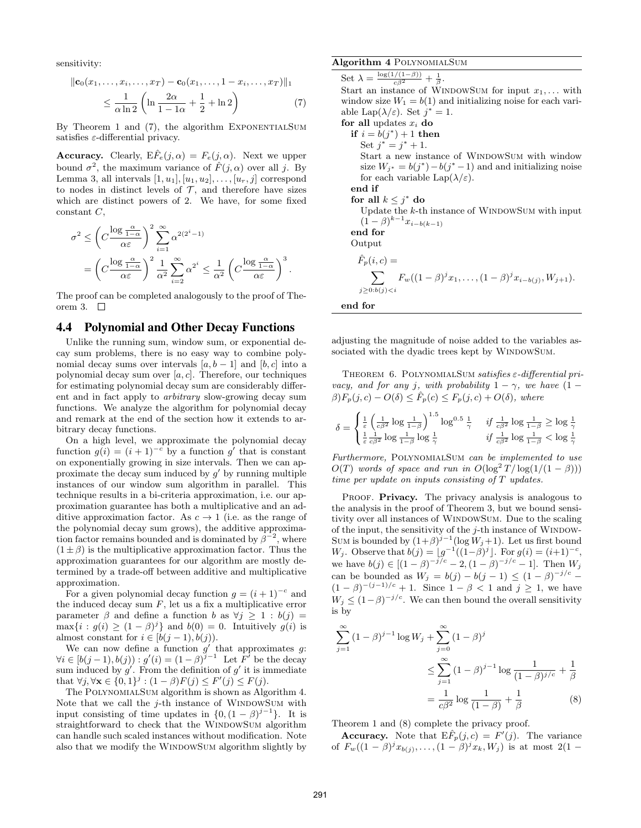sensitivity:

$$
\|\mathbf{c}_0(x_1,\ldots,x_i,\ldots,x_T) - \mathbf{c}_0(x_1,\ldots,1-x_i,\ldots,x_T)\|_1
$$
  
\$\leq \frac{1}{\alpha \ln 2} \left( \ln \frac{2\alpha}{1-\alpha} + \frac{1}{2} + \ln 2 \right) \qquad (7)\$

By Theorem 1 and (7), the algorithm EXPONENTIALSUM satisfies  $\varepsilon$ -differential privacy.

**Accuracy.** Clearly,  $E\hat{F}_e(j,\alpha) = F_e(j,\alpha)$ . Next we upper bound  $\sigma^2$ , the maximum variance of  $\hat{F}(j,\alpha)$  over all j. By Lemma 3, all intervals  $[1, u_1], [u_1, u_2], \ldots, [u_r, j]$  correspond to nodes in distinct levels of  $\mathcal{T}$ , and therefore have sizes which are distinct powers of 2. We have, for some fixed constant C,

$$
\sigma^2 \le \left( C \frac{\log \frac{\alpha}{1-\alpha}}{\alpha \varepsilon} \right)^2 \sum_{i=1}^{\infty} \alpha^{2(2^i - 1)}
$$

$$
= \left( C \frac{\log \frac{\alpha}{1-\alpha}}{\alpha \varepsilon} \right)^2 \frac{1}{\alpha^2} \sum_{i=2}^{\infty} \alpha^{2^i} \le \frac{1}{\alpha^2} \left( C \frac{\log \frac{\alpha}{1-\alpha}}{\alpha \varepsilon} \right)^3
$$

.

The proof can be completed analogously to the proof of Theorem 3.  $\square$ 

## 4.4 Polynomial and Other Decay Functions

Unlike the running sum, window sum, or exponential decay sum problems, there is no easy way to combine polynomial decay sums over intervals  $[a, b - 1]$  and  $[b, c]$  into a polynomial decay sum over  $[a, c]$ . Therefore, our techniques for estimating polynomial decay sum are considerably different and in fact apply to arbitrary slow-growing decay sum functions. We analyze the algorithm for polynomial decay and remark at the end of the section how it extends to arbitrary decay functions.

On a high level, we approximate the polynomial decay function  $g(i) = (i+1)^{-c}$  by a function g' that is constant on exponentially growing in size intervals. Then we can approximate the decay sum induced by  $g'$  by running multiple instances of our window sum algorithm in parallel. This technique results in a bi-criteria approximation, i.e. our approximation guarantee has both a multiplicative and an additive approximation factor. As  $c \to 1$  (i.e. as the range of the polynomial decay sum grows), the additive approximation factor remains bounded and is dominated by  $\beta^{-2}$ , where  $(1 \pm \beta)$  is the multiplicative approximation factor. Thus the approximation guarantees for our algorithm are mostly determined by a trade-off between additive and multiplicative approximation.

For a given polynomial decay function  $g = (i + 1)^{-c}$  and the induced decay sum  $F$ , let us a fix a multiplicative error parameter  $\beta$  and define a function b as  $\forall j \geq 1 : b(j) =$  $\max\{i : g(i) \geq (1 - \beta)^j\}$  and  $b(0) = 0$ . Intuitively  $g(i)$  is almost constant for  $i \in [b(j-1), b(j))$ .

We can now define a function  $g'$  that approximates g:  $\forall i \in [b(j-1), b(j)) : g'(i) = (1-\beta)^{j-1}$  Let  $F'$  be the decay sum induced by  $g'$ . From the definition of  $g'$  it is immediate that  $\forall j, \forall x \in \{0,1\}^j : (1-\beta)F(j) \leq F'(j) \leq F(j).$ 

The PolynomialSum algorithm is shown as Algorithm 4. Note that we call the  $j$ -th instance of WINDOWSUM with input consisting of time updates in  $\{0, (1 - \beta)^{j-1}\}\$ . It is straightforward to check that the WINDOWSUM algorithm can handle such scaled instances without modification. Note also that we modify the WINDOWSUM algorithm slightly by

## Algorithm 4 PolynomialSum

Set  $\lambda = \frac{\log(1/(1-\beta))}{c\beta^2} + \frac{1}{\beta}$ . Start an instance of WINDOWSUM for input  $x_1, \ldots$  with window size  $W_1 = b(1)$  and initializing noise for each variable Lap( $\lambda/\varepsilon$ ). Set  $j^* = 1$ . for all updates  $x_i$  do if  $i = b(j^*) + 1$  then Set  $j^* = j^* + 1$ . Start a new instance of WindowSum with window size  $W_{j^*} = b(j^*) - b(j^* - 1)$  and and initializing noise for each variable  $\text{Lap}(\lambda/\varepsilon)$ . end if for all  $k \leq j^*$  do Update the  $k$ -th instance of WINDOWSUM with input  $(1 - \beta)^{k-1} x_{i-b(k-1)}$ end for Output  $\hat{F}_p(i,c) =$  $\sum$  $j \geq 0:b(j) < i$  $F_w((1-\beta)^j x_1,\ldots,(1-\beta)^j x_{i-b(j)},W_{j+1}).$ end for

adjusting the magnitude of noise added to the variables associated with the dyadic trees kept by WINDOWSUM.

THEOREM 6. POLYNOMIALSUM satisfies  $\varepsilon$ -differential privacy, and for any j, with probability  $1 - \gamma$ , we have  $(1 - \gamma)$  $\beta$ ) $F_p(j, c) - O(\delta) \leq \hat{F}_p(c) \leq F_p(j, c) + O(\delta)$ , where

$$
\delta = \begin{cases} \frac{1}{\varepsilon} \left( \frac{1}{c\beta^2} \log \frac{1}{1-\beta} \right)^{1.5} \log^{0.5} \frac{1}{\gamma} & \text{if } \frac{1}{c\beta^2} \log \frac{1}{1-\beta} \ge \log \frac{1}{\gamma} \\ \frac{1}{\varepsilon} \frac{1}{c\beta^2} \log \frac{1}{1-\beta} \log \frac{1}{\gamma} & \text{if } \frac{1}{c\beta^2} \log \frac{1}{1-\beta} < \log \frac{1}{\gamma} \end{cases}
$$

Furthermore, PolynomialSum can be implemented to use  $O(T)$  words of space and run in  $O(\log^2 T / \log(1/(1 - \beta)))$ time per update on inputs consisting of T updates.

PROOF. **Privacy.** The privacy analysis is analogous to the analysis in the proof of Theorem 3, but we bound sensitivity over all instances of WINDOWSUM. Due to the scaling of the input, the sensitivity of the  $j$ -th instance of WINDOW-SUM is bounded by  $(1+\beta)^{j-1}$  (log  $W_j+1$ ). Let us first bound  $W_j$ . Observe that  $b(j) = [g^{-1}((1-\beta)^j]$ . For  $g(i) = (i+1)^{-c}$ , we have  $b(j) \in [(1 - \beta)^{-j/c} - 2, (1 - \beta)^{-j/c} - 1]$ . Then  $W_j$ can be bounded as  $W_j = b(j) - b(j-1) \leq (1-\beta)^{-j/c}$  $(1 - \beta)^{-(j-1)/c} + 1$ . Since  $1 - \beta < 1$  and  $j \ge 1$ , we have  $W_j \leq (1-\beta)^{-j/c}$ . We can then bound the overall sensitivity is by

$$
\sum_{j=1}^{\infty} (1 - \beta)^{j-1} \log W_j + \sum_{j=0}^{\infty} (1 - \beta)^j
$$
  

$$
\leq \sum_{j=1}^{\infty} (1 - \beta)^{j-1} \log \frac{1}{(1 - \beta)^{j/c}} + \frac{1}{\beta}
$$
  

$$
= \frac{1}{c\beta^2} \log \frac{1}{(1 - \beta)} + \frac{1}{\beta}
$$
 (8)

Theorem 1 and (8) complete the privacy proof.

**Accuracy.** Note that  $E\hat{F}_p(j,c) = F'(j)$ . The variance of  $F_w((1 - \beta)^j x_{b(j)}, \ldots, (1 - \beta)^j x_k, W_j)$  is at most 2(1 –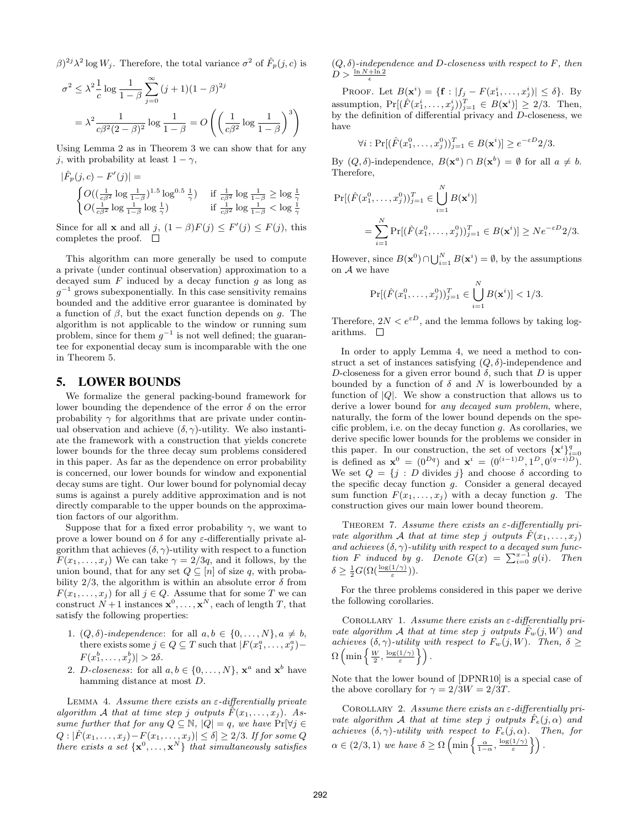$\beta$ <sup>2j</sup> $\lambda$ <sup>2</sup> log W<sub>j</sub>. Therefore, the total variance  $\sigma$ <sup>2</sup> of  $\hat{F}_p(j, c)$  is

$$
\sigma^2 \le \lambda^2 \frac{1}{c} \log \frac{1}{1-\beta} \sum_{j=0}^{\infty} (j+1)(1-\beta)^{2j}
$$

$$
= \lambda^2 \frac{1}{c\beta^2 (2-\beta)^2} \log \frac{1}{1-\beta} = O\left( \left(\frac{1}{c\beta^2} \log \frac{1}{1-\beta}\right)^3 \right)
$$

Using Lemma 2 as in Theorem 3 we can show that for any j, with probability at least  $1 - \gamma$ ,

$$
\begin{array}{ll} |\hat{F}_p(j, c) - F'(j)| = \\ \begin{cases} O((\frac{1}{c\beta^2} \log \frac{1}{1-\beta})^{1.5} \log^{0.5} \frac{1}{\gamma}) & \text{if } \frac{1}{c\beta^2} \log \frac{1}{1-\beta} \ge \log \frac{1}{\gamma} \\ O(\frac{1}{c\beta^2} \log \frac{1}{1-\beta} \log \frac{1}{\gamma}) & \text{if } \frac{1}{c\beta^2} \log \frac{1}{1-\beta} < \log \frac{1}{\gamma} \end{cases} \end{array}
$$

Since for all **x** and all  $j$ ,  $(1 - \beta)F(j) \leq F'(j) \leq F(j)$ , this completes the proof.  $\square$ 

This algorithm can more generally be used to compute a private (under continual observation) approximation to a decayed sum  $F$  induced by a decay function  $g$  as long as  $g^{-1}$  grows subexponentially. In this case sensitivity remains bounded and the additive error guarantee is dominated by a function of  $\beta$ , but the exact function depends on q. The algorithm is not applicable to the window or running sum problem, since for them  $g^{-1}$  is not well defined; the guarantee for exponential decay sum is incomparable with the one in Theorem 5.

## 5. LOWER BOUNDS

We formalize the general packing-bound framework for lower bounding the dependence of the error  $\delta$  on the error probability  $\gamma$  for algorithms that are private under continual observation and achieve  $(\delta, \gamma)$ -utility. We also instantiate the framework with a construction that yields concrete lower bounds for the three decay sum problems considered in this paper. As far as the dependence on error probability is concerned, our lower bounds for window and exponential decay sums are tight. Our lower bound for polynomial decay sums is against a purely additive approximation and is not directly comparable to the upper bounds on the approximation factors of our algorithm.

Suppose that for a fixed error probability  $\gamma$ , we want to prove a lower bound on  $\delta$  for any  $\varepsilon$ -differentially private algorithm that achieves  $(\delta, \gamma)$ -utility with respect to a function  $F(x_1, \ldots, x_j)$  We can take  $\gamma = 2/3q$ , and it follows, by the union bound, that for any set  $Q \subseteq [n]$  of size q, with probability 2/3, the algorithm is within an absolute error  $\delta$  from  $F(x_1, \ldots, x_j)$  for all  $j \in Q$ . Assume that for some T we can construct  $N+1$  instances  $\mathbf{x}^0, \ldots, \mathbf{x}^N$ , each of length T, that satisfy the following properties:

- 1.  $(Q, \delta)$ -independence: for all  $a, b \in \{0, ..., N\}, a \neq b$ , there exists some  $j \in Q \subseteq T$  such that  $|F(x_1^a, \ldots, x_j^a) F(x_1^b, \ldots, x_j^b)| > 2\delta.$
- 2. *D*-closeness: for all  $a, b \in \{0, ..., N\}$ ,  $\mathbf{x}^a$  and  $\mathbf{x}^b$  have hamming distance at most D.

LEMMA 4. Assume there exists an  $\varepsilon$ -differentially private algorithm A that at time step j outputs  $\hat{F}(x_1, \ldots, x_j)$ . Assume further that for any  $Q \subseteq \mathbb{N}$ ,  $|Q| = q$ , we have  $Pr[\forall j \in$  $Q : |\hat{F}(x_1,\ldots,x_j)-F(x_1,\ldots,x_j)| \leq \delta] \geq 2/3$ . If for some Q there exists a set  $\{x^0, \ldots, x^N\}$  that simultaneously satisfies

 $(Q, \delta)$ -independence and D-closeness with respect to F, then  $D > \frac{\ln N + \ln 2}{\epsilon}$ 

PROOF. Let  $B(\mathbf{x}^i) = \{ \mathbf{f} : |f_j - F(x_1^i, ..., x_j^i)| \le \delta \}$ . By assumption,  $Pr[(\hat{F}(x_1^i, ..., x_j^i))_{j=1}^T \in B(\mathbf{x}^i)] \ge 2/3$ . Then, by the definition of differential privacy and D-closeness, we have

$$
\forall i: \Pr[(\hat{F}(x_1^0,\ldots,x_j^0))_{j=1}^T \in B(\mathbf{x}^i)] \ge e^{-\varepsilon D}2/3.
$$

By  $(Q, \delta)$ -independence,  $B(\mathbf{x}^a) \cap B(\mathbf{x}^b) = \emptyset$  for all  $a \neq b$ . Therefore,

$$
\Pr[(\hat{F}(x_1^0, \dots, x_j^0))_{j=1}^T \in \bigcup_{i=1}^N B(\mathbf{x}^i)]
$$
  
= 
$$
\sum_{i=1}^N \Pr[(\hat{F}(x_1^0, \dots, x_j^0))_{j=1}^T \in B(\mathbf{x}^i)] \ge N e^{-\varepsilon D} 2/3.
$$

However, since  $B(\mathbf{x}^0) \cap \bigcup_{i=1}^N B(\mathbf{x}^i) = \emptyset$ , by the assumptions on A we have

$$
\Pr[(\hat{F}(x_1^0,\ldots,x_j^0))_{j=1}^T \in \bigcup_{i=1}^N B(\mathbf{x}^i)] < 1/3.
$$

Therefore,  $2N < e^{\varepsilon D}$ , and the lemma follows by taking logarithms.  $\quad \Box$ 

In order to apply Lemma 4, we need a method to construct a set of instances satisfying  $(Q, \delta)$ -independence and D-closeness for a given error bound  $\delta$ , such that D is upper bounded by a function of  $\delta$  and N is lowerbounded by a function of  $|Q|$ . We show a construction that allows us to derive a lower bound for any decayed sum problem, where, naturally, the form of the lower bound depends on the specific problem, i.e. on the decay function  $q$ . As corollaries, we derive specific lower bounds for the problems we consider in this paper. In our construction, the set of vectors  $\{x^i\}_{i=0}^q$ <br>is defined as  $\mathbf{x}^0 = (0^{Dq})$  and  $\mathbf{x}^i = (0^{(i-1)D}, 1^D, 0^{(q-i)D}).$ We set  $Q = \{j : D$  divides  $j\}$  and choose  $\delta$  according to the specific decay function g. Consider a general decayed sum function  $F(x_1, \ldots, x_j)$  with a decay function g. The construction gives our main lower bound theorem.

THEOREM 7. Assume there exists an  $\varepsilon$ -differentially private algorithm A that at time step j outputs  $\hat{F}(x_1, \ldots, x_i)$ and achieves  $(\delta, \gamma)$ -utility with respect to a decayed sum function F induced by g. Denote  $G(x) = \sum_{i=0}^{x-1} g(i)$ . Then  $\delta \geq \frac{1}{2}G(\Omega(\frac{\log(1/\gamma)}{\varepsilon}))$ .

For the three problems considered in this paper we derive the following corollaries.

COROLLARY 1. Assume there exists an  $\varepsilon$ -differentially private algorithm A that at time step j outputs  $F_w(j, W)$  and achieves  $(\delta, \gamma)$ -utility with respect to  $F_w(j, W)$ . Then,  $\delta \geq$  $\Omega\left(\min\left\{\frac{W}{2},\frac{\log(1/\gamma)}{\varepsilon}\right\}\right).$ 

Note that the lower bound of [DPNR10] is a special case of the above corollary for  $\gamma = 2/3W = 2/3T$ .

COROLLARY 2. Assume there exists an  $\varepsilon$ -differentially private algorithm A that at time step j outputs  $F_e(j,\alpha)$  and achieves  $(\delta, \gamma)$ -utility with respect to  $F_e(j, \alpha)$ . Then, for  $\alpha \in (2/3, 1)$  we have  $\delta \geq \Omega \left( \min \left\{ \frac{\alpha}{1-\alpha}, \frac{\log(1/\gamma)}{\varepsilon} \right\} \right)$ .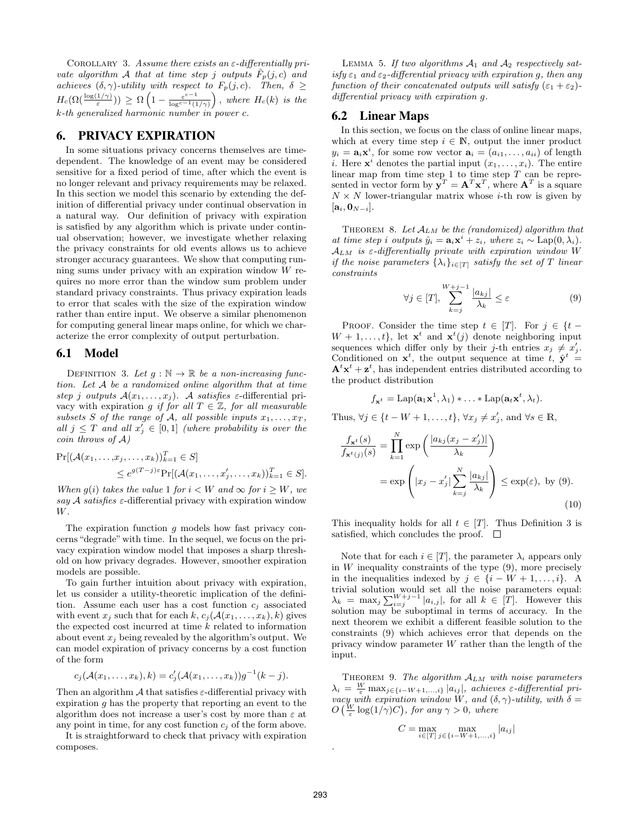COROLLARY 3. Assume there exists an  $\varepsilon$ -differentially private algorithm A that at time step j outputs  $\hat{F}_p(j,c)$  and achieves  $(\delta, \gamma)$ -utility with respect to  $F_p(j, c)$ . Then,  $\delta \geq$  $H_c(\Omega(\frac{\log(1/\gamma)}{\varepsilon})) \geq \Omega\left(1-\frac{\varepsilon^{c-1}}{\log^{c-1}(1/\gamma)}\right)$ , where  $H_c(k)$  is the k-th generalized harmonic number in power c.

## 6. PRIVACY EXPIRATION

In some situations privacy concerns themselves are timedependent. The knowledge of an event may be considered sensitive for a fixed period of time, after which the event is no longer relevant and privacy requirements may be relaxed. In this section we model this scenario by extending the definition of differential privacy under continual observation in a natural way. Our definition of privacy with expiration is satisfied by any algorithm which is private under continual observation; however, we investigate whether relaxing the privacy constraints for old events allows us to achieve stronger accuracy guarantees. We show that computing running sums under privacy with an expiration window W requires no more error than the window sum problem under standard privacy constraints. Thus privacy expiration leads to error that scales with the size of the expiration window rather than entire input. We observe a similar phenomenon for computing general linear maps online, for which we characterize the error complexity of output perturbation.

### 6.1 Model

DEFINITION 3. Let  $g : \mathbb{N} \to \mathbb{R}$  be a non-increasing function. Let A be a randomized online algorithm that at time step j outputs  $A(x_1, \ldots, x_j)$ . A satisfies  $\varepsilon$ -differential privacy with expiration g if for all  $T \in \mathbb{Z}$ , for all measurable subsets S of the range of A, all possible inputs  $x_1, \ldots, x_T$ , all  $j \leq T$  and all  $x'_j \in [0,1]$  (where probability is over the  $coin$  throws of  $A)$ 

$$
\Pr[(\mathcal{A}(x_1,\ldots,x_j,\ldots,x_k))_{k=1}^T \in S] \le e^{g(T-j)\varepsilon} \Pr[(\mathcal{A}(x_1,\ldots,x'_j,\ldots,x_k))_{k=1}^T \in S].
$$

When  $q(i)$  takes the value 1 for  $i \lt W$  and  $\infty$  for  $i \geq W$ , we say  $A$  satisfies  $\varepsilon$ -differential privacy with expiration window W.

The expiration function  $g$  models how fast privacy concerns "degrade"with time. In the sequel, we focus on the privacy expiration window model that imposes a sharp threshold on how privacy degrades. However, smoother expiration models are possible.

To gain further intuition about privacy with expiration, let us consider a utility-theoretic implication of the definition. Assume each user has a cost function  $c_i$  associated with event  $x_j$  such that for each  $k, c_j(\mathcal{A}(x_1, \ldots, x_k), k)$  gives the expected cost incurred at time k related to information about event  $x_i$  being revealed by the algorithm's output. We can model expiration of privacy concerns by a cost function of the form

$$
c_j(\mathcal{A}(x_1,\ldots,x_k),k)=c'_j(\mathcal{A}(x_1,\ldots,x_k))g^{-1}(k-j).
$$

Then an algorithm  $\mathcal A$  that satisfies  $\varepsilon$ -differential privacy with expiration  $g$  has the property that reporting an event to the algorithm does not increase a user's cost by more than  $\varepsilon$  at any point in time, for any cost function  $c_j$  of the form above.

It is straightforward to check that privacy with expiration composes.

LEMMA 5. If two algorithms  $A_1$  and  $A_2$  respectively satisfy  $\varepsilon_1$  and  $\varepsilon_2$ -differential privacy with expiration q, then any function of their concatenated outputs will satisfy  $(\varepsilon_1 + \varepsilon_2)$ differential privacy with expiration g.

#### 6.2 Linear Maps

In this section, we focus on the class of online linear maps, which at every time step  $i \in \mathbb{N}$ , output the inner product  $y_i = \mathbf{a}_i \mathbf{x}^i$ , for some row vector  $\mathbf{a}_i = (a_{i1}, \dots, a_{ii})$  of length *i*. Here  $\mathbf{x}^i$  denotes the partial input  $(x_1, \ldots, x_i)$ . The entire linear map from time step 1 to time step  $T$  can be represented in vector form by  $y^T = A^T x^T$ , where  $A^T$  is a square  $N \times N$  lower-triangular matrix whose *i*-th row is given by  $[\mathbf{a}_i, \mathbf{0}_{N-i}].$ 

THEOREM 8. Let  $A_{LM}$  be the (randomized) algorithm that at time step i outputs  $\hat{y}_i = \mathbf{a}_i \mathbf{x}^i + z_i$ , where  $z_i \sim \text{Lap}(0, \lambda_i)$ .  $A_{LM}$  is  $\varepsilon$ -differentially private with expiration window W if the noise parameters  $\{\lambda_i\}_{i\in[T]}$  satisfy the set of T linear constraints

$$
\forall j \in [T], \sum_{k=j}^{W+j-1} \frac{|a_{kj}|}{\lambda_k} \le \varepsilon \tag{9}
$$

PROOF. Consider the time step  $t \in [T]$ . For  $j \in \{t W + 1, \ldots, t$ , let  $\mathbf{x}^t$  and  $\mathbf{x}^t(j)$  denote neighboring input sequences which differ only by their j-th entries  $x_j \neq x'_j$ . Conditioned on  $\mathbf{x}^t$ , the output sequence at time t,  $\hat{\mathbf{y}}^t$  =  $\mathbf{A}^t \mathbf{x}^t + \mathbf{z}^t$ , has independent entries distributed according to the product distribution

$$
f_{\mathbf{x}^t} = \mathrm{Lap}(\mathbf{a}_1\mathbf{x}^1, \lambda_1) * \ldots * \mathrm{Lap}(\mathbf{a}_t\mathbf{x}^t, \lambda_t).
$$

Thus,  $\forall j \in \{t - W + 1, \ldots, t\}, \forall x_j \neq x'_j$ , and  $\forall s \in \mathbb{R}$ ,

$$
\frac{f_{\mathbf{x}^t}(s)}{f_{\mathbf{x}^t(j)}(s)} = \prod_{k=1}^N \exp\left(\frac{|a_{kj}(x_j - x'_j)|}{\lambda_k}\right)
$$
\n
$$
= \exp\left(|x_j - x'_j| \sum_{k=j}^N \frac{|a_{kj}|}{\lambda_k}\right) \le \exp(\varepsilon), \text{ by (9)}.
$$
\n(10)

This inequality holds for all  $t \in [T]$ . Thus Definition 3 is satisfied, which concludes the proof.  $\Box$ 

Note that for each  $i \in [T]$ , the parameter  $\lambda_i$  appears only in  $W$  inequality constraints of the type  $(9)$ , more precisely in the inequalities indexed by  $j \in \{i - W + 1, \ldots, i\}$ . A trivial solution would set all the noise parameters equal:  $\lambda_k = \max_j \sum_{i=j}^{W+j-1} |a_{i,j}|$ , for all  $k \in [T]$ . However this solution may be suboptimal in terms of accuracy. In the next theorem we exhibit a different feasible solution to the constraints (9) which achieves error that depends on the privacy window parameter W rather than the length of the input.

THEOREM 9. The algorithm  $A_{LM}$  with noise parameters  $\lambda_i = \frac{W}{\varepsilon} \max_{j \in \{i-W+1,\ldots,i\}} |a_{ij}|$ , achieves  $\varepsilon$ -differential privacy with expiration window W, and  $(\delta, \gamma)$ -utility, with  $\delta =$  $O\left(\frac{W}{\varepsilon}\log(1/\gamma)C\right)$ , for any  $\gamma > 0$ , where

$$
C = \max_{i \in [T]} \max_{j \in \{i-W+1,...,i\}} |a_{ij}|
$$

.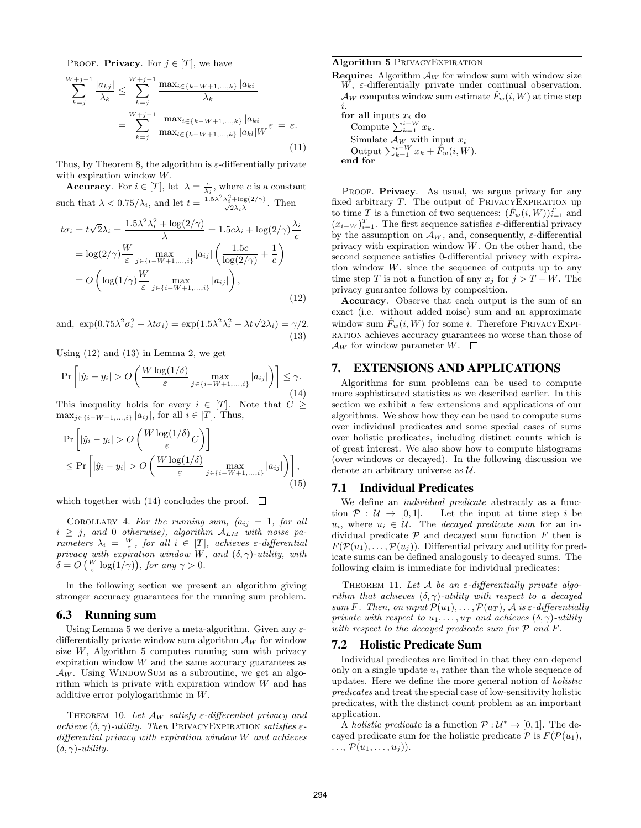PROOF. **Privacy**. For  $j \in [T]$ , we have

$$
\sum_{k=j}^{W+j-1} \frac{|a_{kj}|}{\lambda_k} \le \sum_{k=j}^{W+j-1} \frac{\max_{i \in \{k-W+1,\dots,k\}} |a_{ki}|}{\lambda_k}
$$

$$
= \sum_{k=j}^{W+j-1} \frac{\max_{i \in \{k-W+1,\dots,k\}} |a_{ki}|}{\max_{l \in \{k-W+1,\dots,k\}} |a_{kl}| W} \varepsilon = \varepsilon.
$$
(11)

Thus, by Theorem 8, the algorithm is  $\varepsilon$ -differentially private with expiration window W.

**Accuracy**. For  $i \in [T]$ , let  $\lambda = \frac{c}{\lambda_i}$ , where c is a constant such that  $\lambda < 0.75/\lambda_i$ , and let  $t = \frac{1.5\lambda^2\lambda_i^2 + \log(2/\gamma)}{\sqrt{2}\lambda_i\lambda}$ . Then

$$
t\sigma_i = t\sqrt{2}\lambda_i = \frac{1.5\lambda^2\lambda_i^2 + \log(2/\gamma)}{\lambda} = 1.5c\lambda_i + \log(2/\gamma)\frac{\lambda_i}{c}
$$

$$
= \log(2/\gamma)\frac{W}{\varepsilon} \max_{j \in \{i-W+1,\dots,i\}} |a_{ij}| \left(\frac{1.5c}{\log(2/\gamma)} + \frac{1}{c}\right)
$$

$$
= O\left(\log(1/\gamma)\frac{W}{\varepsilon} \max_{j \in \{i-W+1,\dots,i\}} |a_{ij}|\right),\tag{12}
$$

and,  $\exp(0.75\lambda^2\sigma_i^2 - \lambda t\sigma_i) = \exp(1.5\lambda^2\lambda_i^2 - \lambda t\sqrt{2}\lambda_i) = \gamma/2.$ (13)

Using  $(12)$  and  $(13)$  in Lemma 2, we get

$$
\Pr\left[|\hat{y}_i - y_i| > O\left(\frac{W\log(1/\delta)}{\varepsilon} \max_{j \in \{i - W + 1, ..., i\}} |a_{ij}|\right)\right] \le \gamma.
$$
\n(14)

This inequality holds for every  $i \in [T]$ . Note that  $C \geq$  $\max_{i \in \{i-W+1,...,i\}} |a_{ij}|$ , for all  $i \in [T]$ . Thus,

$$
\Pr\left[|\hat{y}_i - y_i| > O\left(\frac{W \log(1/\delta)}{\varepsilon} C\right)\right]
$$
\n
$$
\leq \Pr\left[|\hat{y}_i - y_i| > O\left(\frac{W \log(1/\delta)}{\varepsilon} \max_{j \in \{i - W + 1, ..., i\}} |a_{ij}|\right)\right],
$$
\n(15)

which together with (14) concludes the proof.  $\square$ 

COROLLARY 4. For the running sum,  $(a_{ij} = 1, for all$  $i \geq j$ , and 0 otherwise), algorithm  $A_{LM}$  with noise parameters  $\lambda_i = \frac{W}{\varepsilon}$ , for all  $i \in [T]$ , achieves  $\varepsilon$ -differential privacy with expiration window W, and  $(\delta, \gamma)$ -utility, with  $\delta = O\left(\frac{W}{\varepsilon}\log(1/\gamma)\right)$ , for any  $\gamma > 0$ .

In the following section we present an algorithm giving stronger accuracy guarantees for the running sum problem.

## 6.3 Running sum

Using Lemma 5 we derive a meta-algorithm. Given any  $\varepsilon$ differentially private window sum algorithm  $\mathcal{A}_W$  for window size  $W$ , Algorithm 5 computes running sum with privacy expiration window  $W$  and the same accuracy guarantees as  $\mathcal{A}_W$ . Using WINDOWSUM as a subroutine, we get an algorithm which is private with expiration window  $W$  and has additive error polylogarithmic in W.

THEOREM 10. Let  $\mathcal{A}_W$  satisfy  $\varepsilon$ -differential privacy and achieve  $(\delta, \gamma)$ -utility. Then PRIVACYEXPIRATION satisfies  $\varepsilon$ differential privacy with expiration window W and achieves  $(\delta, \gamma)$ -utility.

#### Algorithm 5 PRIVACYEXPIRATION

**Require:** Algorithm  $\mathcal{A}_W$  for window sum with window size  $W$ ,  $\varepsilon$ -differentially private under continual observation.  $\mathcal{A}_W$  computes window sum estimate  $\hat{F}_w(i, W)$  at time step i. for all inputs  $x_i$  do Compute  $\sum_{k=1}^{i-W} x_k$ .

Simulate  $\mathcal{A}_W$  with input  $x_i$ Output  $\sum_{k=1}^{i-W} x_k + \hat{F}_w(i, W)$ . end for

PROOF. Privacy. As usual, we argue privacy for any fixed arbitrary  $T$ . The output of PRIVACYEXPIRATION up to time T is a function of two sequences:  $(\hat{F}_w(i, W))_{i=1}^T$  and  $(x_{i-W})_{i=1}^T$ . The first sequence satisfies  $\varepsilon$ -differential privacy by the assumption on  $\mathcal{A}_W$ , and, consequently,  $\varepsilon$ -differential privacy with expiration window W. On the other hand, the second sequence satisfies 0-differential privacy with expiration window  $W$ , since the sequence of outputs up to any time step T is not a function of any  $x_i$  for  $j > T - W$ . The privacy guarantee follows by composition.

Accuracy. Observe that each output is the sum of an exact (i.e. without added noise) sum and an approximate window sum  $\hat{F}_w(i, W)$  for some i. Therefore PRIVACYEXPIration achieves accuracy guarantees no worse than those of  $\mathcal{A}_W$  for window parameter  $W$ .  $\Box$ 

# 7. EXTENSIONS AND APPLICATIONS

Algorithms for sum problems can be used to compute more sophisticated statistics as we described earlier. In this section we exhibit a few extensions and applications of our algorithms. We show how they can be used to compute sums over individual predicates and some special cases of sums over holistic predicates, including distinct counts which is of great interest. We also show how to compute histograms (over windows or decayed). In the following discussion we denote an arbitrary universe as  $U$ .

#### 7.1 Individual Predicates

We define an *individual predicate* abstractly as a function  $P: U \rightarrow [0, 1]$ . Let the input at time step i be  $u_i$ , where  $u_i \in \mathcal{U}$ . The *decayed predicate sum* for an individual predicate  $P$  and decayed sum function  $F$  then is  $F(\mathcal{P}(u_1), \ldots, \mathcal{P}(u_j))$ . Differential privacy and utility for predicate sums can be defined analogously to decayed sums. The following claim is immediate for individual predicates:

THEOREM 11. Let  $A$  be an  $\varepsilon$ -differentially private algorithm that achieves  $(\delta, \gamma)$ -utility with respect to a decayed sum F. Then, on input  $\mathcal{P}(u_1), \ldots, \mathcal{P}(u_T)$ , A is  $\varepsilon$ -differentially private with respect to  $u_1, \ldots, u_T$  and achieves  $(\delta, \gamma)$ -utility with respect to the decayed predicate sum for  $P$  and  $F$ .

#### 7.2 Holistic Predicate Sum

Individual predicates are limited in that they can depend only on a single update  $u_i$  rather than the whole sequence of updates. Here we define the more general notion of holistic predicates and treat the special case of low-sensitivity holistic predicates, with the distinct count problem as an important application.

A holistic predicate is a function  $P: U^* \to [0,1]$ . The decayed predicate sum for the holistic predicate  $P$  is  $F(\mathcal{P}(u_1))$ ,  $\ldots, \mathcal{P}(u_1, \ldots, u_i)).$